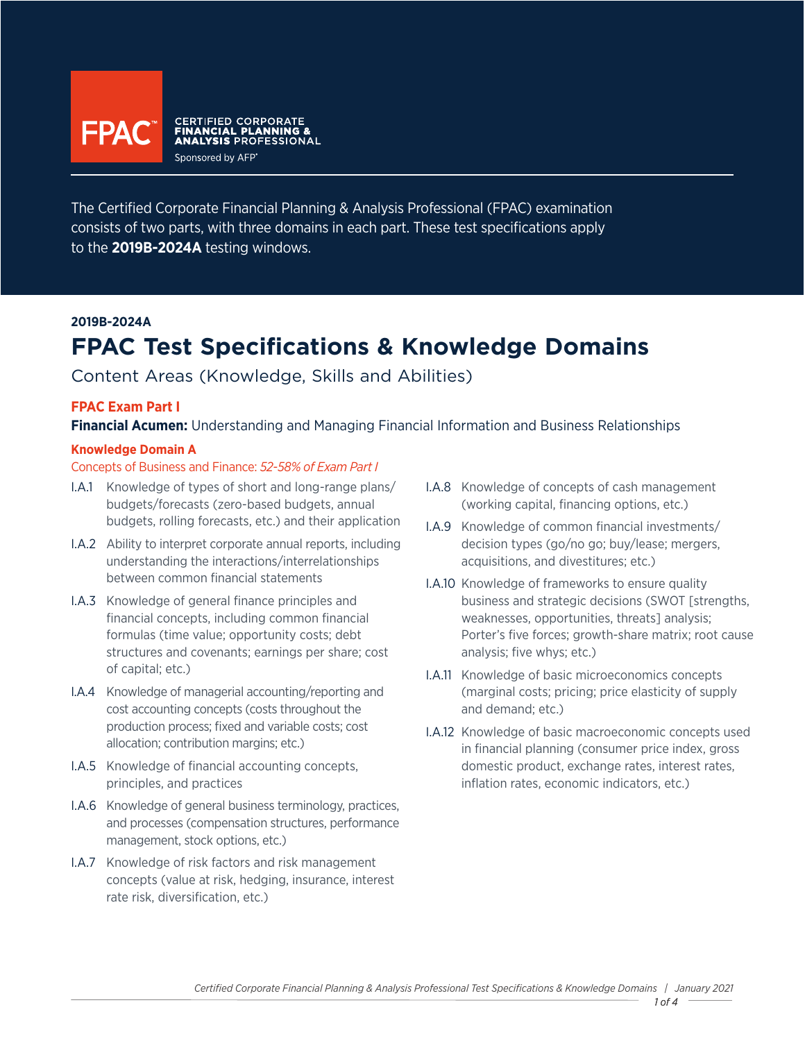

The Certified Corporate Financial Planning & Analysis Professional (FPAC) examination consists of two parts, with three domains in each part. These test specifications apply to the **2019B-2024A** testing windows.

### **2019B-2024A**

# **FPAC Test Specifications & Knowledge Domains**

Content Areas (Knowledge, Skills and Abilities)

### **FPAC Exam Part I**

**Financial Acumen:** Understanding and Managing Financial Information and Business Relationships

#### **Knowledge Domain A**

#### Concepts of Business and Finance: *52-58% of Exam Part I*

- I.A.1 Knowledge of types of short and long-range plans/ budgets/forecasts (zero-based budgets, annual budgets, rolling forecasts, etc.) and their application
- I.A.2 Ability to interpret corporate annual reports, including understanding the interactions/interrelationships between common financial statements
- I.A.3 Knowledge of general finance principles and financial concepts, including common financial formulas (time value; opportunity costs; debt structures and covenants; earnings per share; cost of capital; etc.)
- I.A.4 Knowledge of managerial accounting/reporting and cost accounting concepts (costs throughout the production process; fixed and variable costs; cost allocation; contribution margins; etc.)
- I.A.5 Knowledge of financial accounting concepts, principles, and practices
- I.A.6 Knowledge of general business terminology, practices, and processes (compensation structures, performance management, stock options, etc.)
- I.A.7 Knowledge of risk factors and risk management concepts (value at risk, hedging, insurance, interest rate risk, diversification, etc.)
- I.A.8 Knowledge of concepts of cash management (working capital, financing options, etc.)
- I.A.9 Knowledge of common financial investments/ decision types (go/no go; buy/lease; mergers, acquisitions, and divestitures; etc.)
- I.A.10 Knowledge of frameworks to ensure quality business and strategic decisions (SWOT [strengths, weaknesses, opportunities, threats] analysis; Porter's five forces; growth-share matrix; root cause analysis; five whys; etc.)
- I.A.11 Knowledge of basic microeconomics concepts (marginal costs; pricing; price elasticity of supply and demand; etc.)
- I.A.12 Knowledge of basic macroeconomic concepts used in financial planning (consumer price index, gross domestic product, exchange rates, interest rates, inflation rates, economic indicators, etc.)

*1 of 4*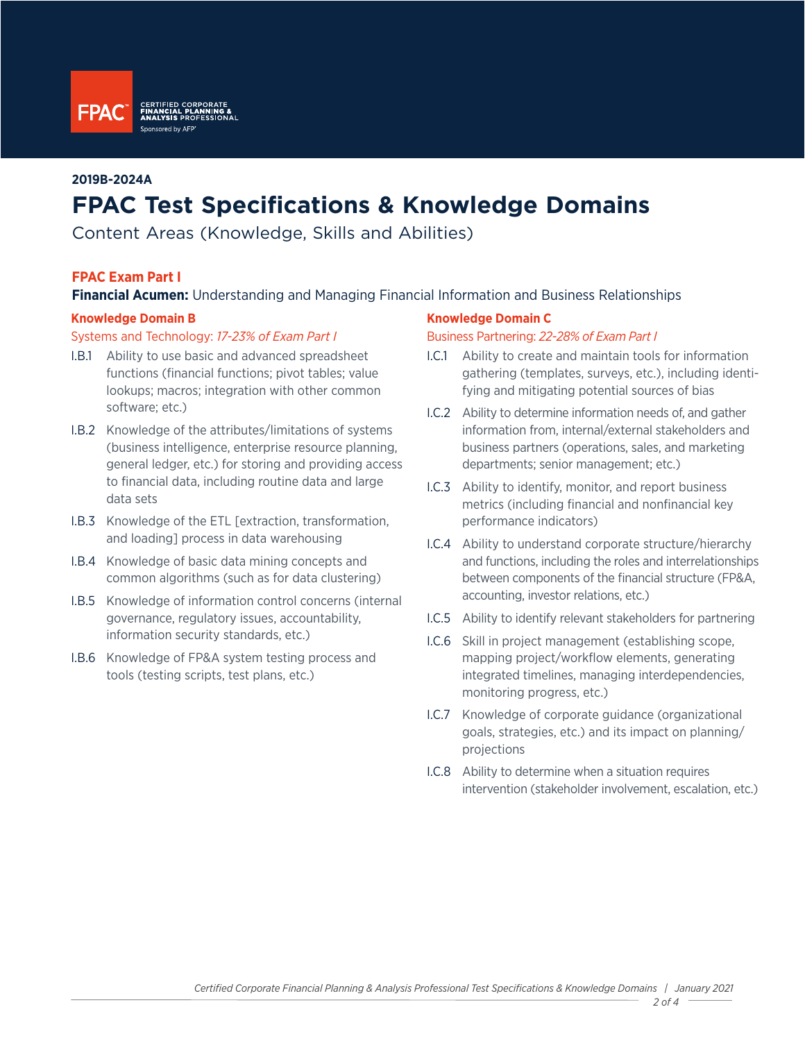

#### **2019B-2024A**

# **FPAC Test Specifications & Knowledge Domains**

Content Areas (Knowledge, Skills and Abilities)

### **FPAC Exam Part I**

## **Financial Acumen:** Understanding and Managing Financial Information and Business Relationships

#### **Knowledge Domain B**

#### Systems and Technology: *17-23% of Exam Part I*

- I.B.1 Ability to use basic and advanced spreadsheet functions (financial functions; pivot tables; value lookups; macros; integration with other common software; etc.)
- I.B.2 Knowledge of the attributes/limitations of systems (business intelligence, enterprise resource planning, general ledger, etc.) for storing and providing access to financial data, including routine data and large data sets
- I.B.3 Knowledge of the ETL [extraction, transformation, and loading] process in data warehousing
- I.B.4 Knowledge of basic data mining concepts and common algorithms (such as for data clustering)
- I.B.5 Knowledge of information control concerns (internal governance, regulatory issues, accountability, information security standards, etc.)
- I.B.6 Knowledge of FP&A system testing process and tools (testing scripts, test plans, etc.)

#### **Knowledge Domain C**

#### Business Partnering: *22-28% of Exam Part I*

- I.C.1 Ability to create and maintain tools for information gathering (templates, surveys, etc.), including identifying and mitigating potential sources of bias
- I.C.2 Ability to determine information needs of, and gather information from, internal/external stakeholders and business partners (operations, sales, and marketing departments; senior management; etc.)
- I.C.3 Ability to identify, monitor, and report business metrics (including financial and nonfinancial key performance indicators)
- I.C.4 Ability to understand corporate structure/hierarchy and functions, including the roles and interrelationships between components of the financial structure (FP&A, accounting, investor relations, etc.)
- I.C.5 Ability to identify relevant stakeholders for partnering
- I.C.6 Skill in project management (establishing scope, mapping project/workflow elements, generating integrated timelines, managing interdependencies, monitoring progress, etc.)
- I.C.7 Knowledge of corporate guidance (organizational goals, strategies, etc.) and its impact on planning/ projections
- I.C.8 Ability to determine when a situation requires intervention (stakeholder involvement, escalation, etc.)

*2 of 4*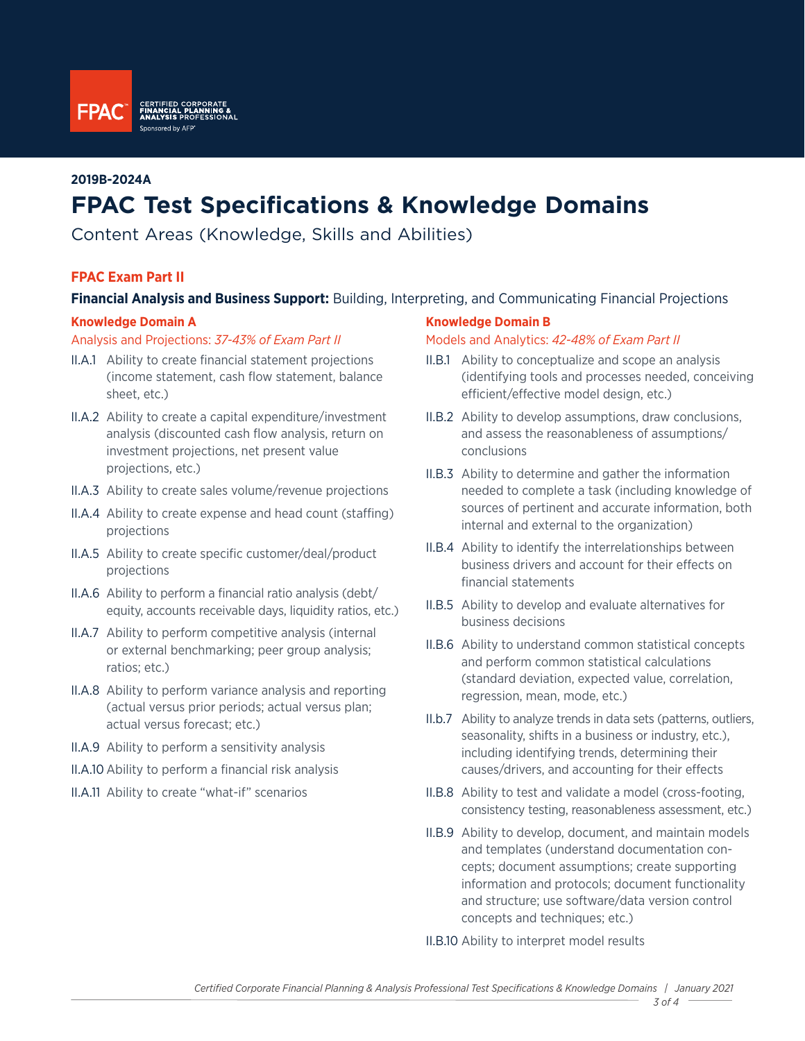

## **2019B-2024A**

# **FPAC Test Specifications & Knowledge Domains**

Content Areas (Knowledge, Skills and Abilities)

# **FPAC Exam Part II**

### **Financial Analysis and Business Support:** Building, Interpreting, and Communicating Financial Projections

#### **Knowledge Domain A**

Analysis and Projections: *37-43% of Exam Part II*

- II.A.1 Ability to create financial statement projections (income statement, cash flow statement, balance sheet, etc.)
- II.A.2 Ability to create a capital expenditure/investment analysis (discounted cash flow analysis, return on investment projections, net present value projections, etc.)
- II.A.3 Ability to create sales volume/revenue projections
- II.A.4 Ability to create expense and head count (staffing) projections
- II.A.5 Ability to create specific customer/deal/product projections
- II.A.6 Ability to perform a financial ratio analysis (debt/ equity, accounts receivable days, liquidity ratios, etc.)
- II.A.7 Ability to perform competitive analysis (internal or external benchmarking; peer group analysis; ratios; etc.)
- II.A.8 Ability to perform variance analysis and reporting (actual versus prior periods; actual versus plan; actual versus forecast; etc.)
- II.A.9 Ability to perform a sensitivity analysis
- II.A.10 Ability to perform a financial risk analysis
- II.A.11 Ability to create "what-if" scenarios

#### **Knowledge Domain B**

#### Models and Analytics: *42-48% of Exam Part II*

- II.B.1 Ability to conceptualize and scope an analysis (identifying tools and processes needed, conceiving efficient/effective model design, etc.)
- II.B.2 Ability to develop assumptions, draw conclusions, and assess the reasonableness of assumptions/ conclusions
- II.B.3 Ability to determine and gather the information needed to complete a task (including knowledge of sources of pertinent and accurate information, both internal and external to the organization)
- II.B.4 Ability to identify the interrelationships between business drivers and account for their effects on financial statements
- II.B.5 Ability to develop and evaluate alternatives for business decisions
- II.B.6 Ability to understand common statistical concepts and perform common statistical calculations (standard deviation, expected value, correlation, regression, mean, mode, etc.)
- II.b.7 Ability to analyze trends in data sets (patterns, outliers, seasonality, shifts in a business or industry, etc.), including identifying trends, determining their causes/drivers, and accounting for their effects
- II.B.8 Ability to test and validate a model (cross-footing, consistency testing, reasonableness assessment, etc.)
- II.B.9 Ability to develop, document, and maintain models and templates (understand documentation concepts; document assumptions; create supporting information and protocols; document functionality and structure; use software/data version control concepts and techniques; etc.)

II.B.10 Ability to interpret model results

*3 of 4*